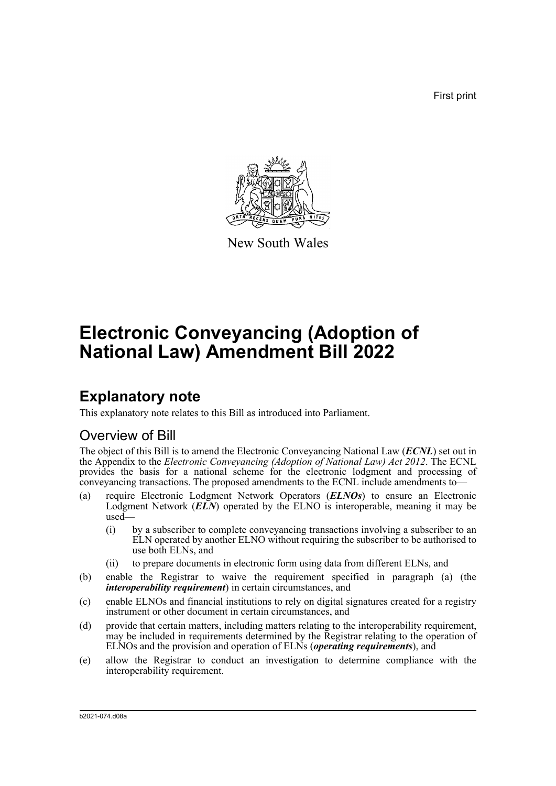First print



New South Wales

# **Electronic Conveyancing (Adoption of National Law) Amendment Bill 2022**

## **Explanatory note**

This explanatory note relates to this Bill as introduced into Parliament.

### Overview of Bill

The object of this Bill is to amend the Electronic Conveyancing National Law (*ECNL*) set out in the Appendix to the *Electronic Conveyancing (Adoption of National Law) Act 2012*. The ECNL provides the basis for a national scheme for the electronic lodgment and processing of conveyancing transactions. The proposed amendments to the ECNL include amendments to—

- (a) require Electronic Lodgment Network Operators (*ELNOs*) to ensure an Electronic Lodgment Network (*ELN*) operated by the ELNO is interoperable, meaning it may be used—
	- (i) by a subscriber to complete conveyancing transactions involving a subscriber to an ELN operated by another ELNO without requiring the subscriber to be authorised to use both ELNs, and
	- (ii) to prepare documents in electronic form using data from different ELNs, and
- (b) enable the Registrar to waive the requirement specified in paragraph (a) (the *interoperability requirement*) in certain circumstances, and
- (c) enable ELNOs and financial institutions to rely on digital signatures created for a registry instrument or other document in certain circumstances, and
- (d) provide that certain matters, including matters relating to the interoperability requirement, may be included in requirements determined by the Registrar relating to the operation of ELNOs and the provision and operation of ELNs (*operating requirements*), and
- (e) allow the Registrar to conduct an investigation to determine compliance with the interoperability requirement.

b2021-074.d08a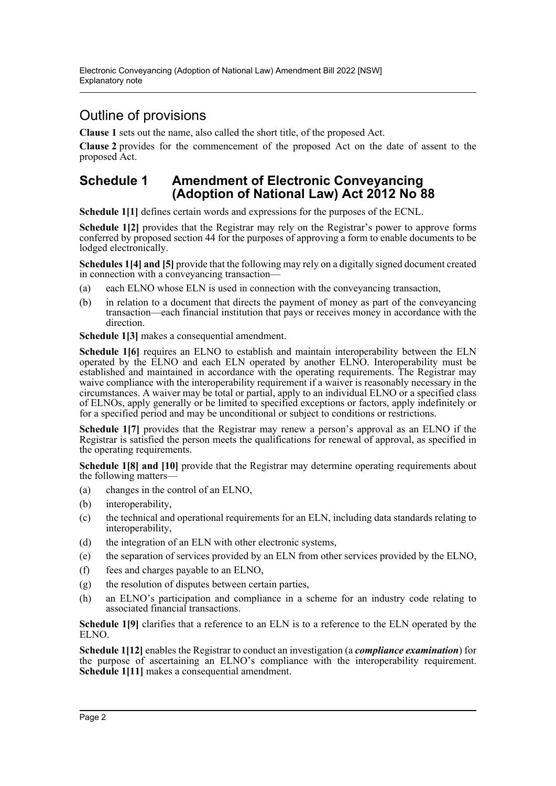### Outline of provisions

**Clause 1** sets out the name, also called the short title, of the proposed Act.

**Clause 2** provides for the commencement of the proposed Act on the date of assent to the proposed Act.

#### **Schedule 1 Amendment of Electronic Conveyancing (Adoption of National Law) Act 2012 No 88**

**Schedule 1[1]** defines certain words and expressions for the purposes of the ECNL.

**Schedule 1[2]** provides that the Registrar may rely on the Registrar's power to approve forms conferred by proposed section 44 for the purposes of approving a form to enable documents to be lodged electronically.

**Schedules 1[4] and [5]** provide that the following may rely on a digitally signed document created in connection with a conveyancing transaction—

- (a) each ELNO whose ELN is used in connection with the conveyancing transaction,
- (b) in relation to a document that directs the payment of money as part of the conveyancing transaction—each financial institution that pays or receives money in accordance with the direction.

**Schedule 1[3]** makes a consequential amendment.

**Schedule 1[6]** requires an ELNO to establish and maintain interoperability between the ELN operated by the ELNO and each ELN operated by another ELNO. Interoperability must be established and maintained in accordance with the operating requirements. The Registrar may waive compliance with the interoperability requirement if a waiver is reasonably necessary in the circumstances. A waiver may be total or partial, apply to an individual ELNO or a specified class of ELNOs, apply generally or be limited to specified exceptions or factors, apply indefinitely or for a specified period and may be unconditional or subject to conditions or restrictions.

**Schedule 1[7]** provides that the Registrar may renew a person's approval as an ELNO if the Registrar is satisfied the person meets the qualifications for renewal of approval, as specified in the operating requirements.

**Schedule 1[8] and [10]** provide that the Registrar may determine operating requirements about the following matters—

- (a) changes in the control of an ELNO,
- (b) interoperability,
- (c) the technical and operational requirements for an ELN, including data standards relating to interoperability,
- (d) the integration of an ELN with other electronic systems,
- (e) the separation of services provided by an ELN from other services provided by the ELNO,
- (f) fees and charges payable to an ELNO,
- (g) the resolution of disputes between certain parties,
- (h) an ELNO's participation and compliance in a scheme for an industry code relating to associated financial transactions.

**Schedule 1[9]** clarifies that a reference to an ELN is to a reference to the ELN operated by the ELNO.

**Schedule 1[12]** enables the Registrar to conduct an investigation (a *compliance examination*) for the purpose of ascertaining an ELNO's compliance with the interoperability requirement. **Schedule 1[11]** makes a consequential amendment.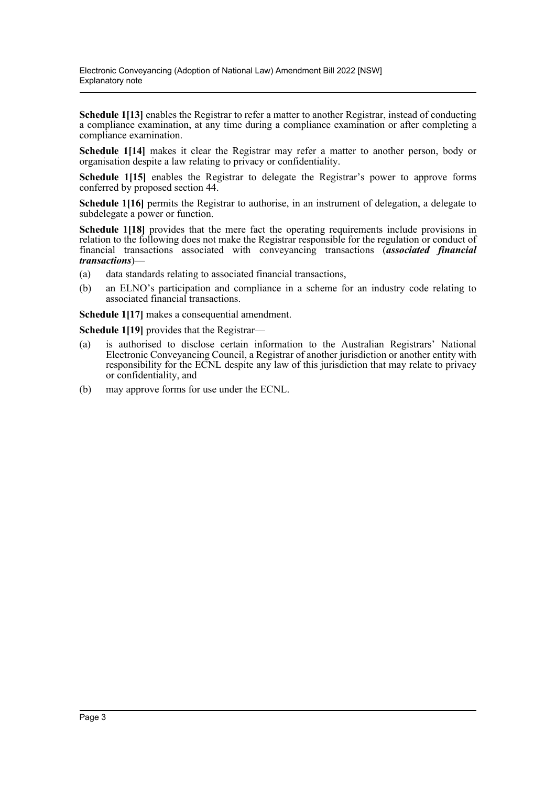**Schedule 1[13]** enables the Registrar to refer a matter to another Registrar, instead of conducting a compliance examination, at any time during a compliance examination or after completing a compliance examination.

**Schedule 1[14]** makes it clear the Registrar may refer a matter to another person, body or organisation despite a law relating to privacy or confidentiality.

**Schedule 1[15]** enables the Registrar to delegate the Registrar's power to approve forms conferred by proposed section 44.

**Schedule 1[16]** permits the Registrar to authorise, in an instrument of delegation, a delegate to subdelegate a power or function.

**Schedule 1[18]** provides that the mere fact the operating requirements include provisions in relation to the following does not make the Registrar responsible for the regulation or conduct of financial transactions associated with conveyancing transactions (*associated financial transactions*)—

- (a) data standards relating to associated financial transactions,
- (b) an ELNO's participation and compliance in a scheme for an industry code relating to associated financial transactions.

**Schedule 1[17]** makes a consequential amendment.

**Schedule 1[19]** provides that the Registrar—

- (a) is authorised to disclose certain information to the Australian Registrars' National Electronic Conveyancing Council, a Registrar of another jurisdiction or another entity with responsibility for the ECNL despite any law of this jurisdiction that may relate to privacy or confidentiality, and
- (b) may approve forms for use under the ECNL.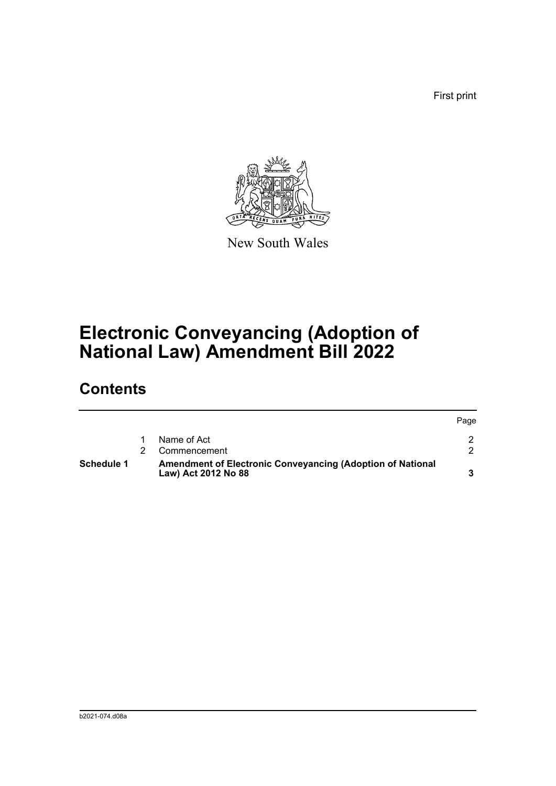First print



New South Wales

# **Electronic Conveyancing (Adoption of National Law) Amendment Bill 2022**

## **Contents**

| Schedule 1 | Amendment of Electronic Conveyancing (Adoption of National<br>Law) Act 2012 No 88 |              |      |
|------------|-----------------------------------------------------------------------------------|--------------|------|
|            |                                                                                   | Commencement |      |
|            |                                                                                   | Name of Act  |      |
|            |                                                                                   |              | Page |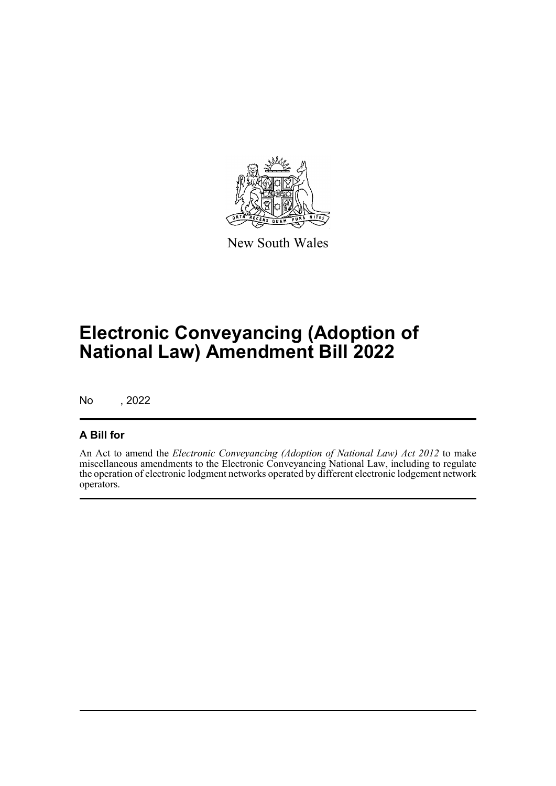

New South Wales

# **Electronic Conveyancing (Adoption of National Law) Amendment Bill 2022**

No , 2022

#### **A Bill for**

An Act to amend the *Electronic Conveyancing (Adoption of National Law) Act 2012* to make miscellaneous amendments to the Electronic Conveyancing National Law, including to regulate the operation of electronic lodgment networks operated by different electronic lodgement network operators.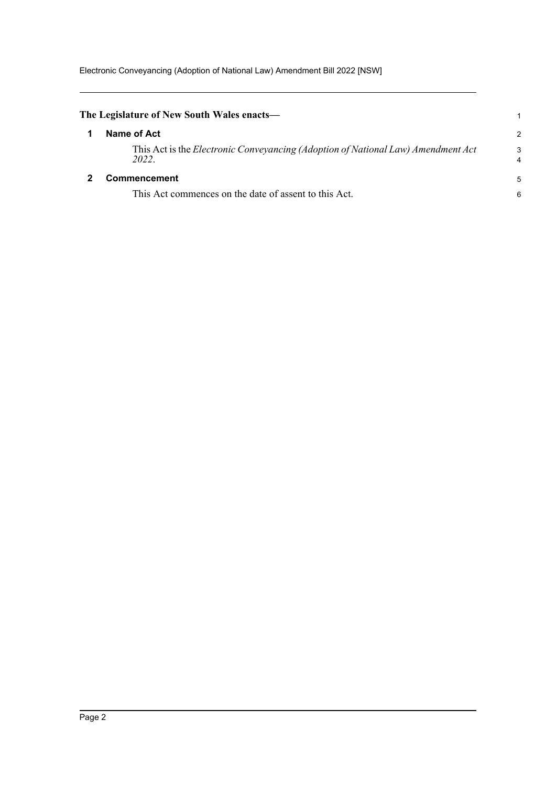<span id="page-5-1"></span><span id="page-5-0"></span>

| The Legislature of New South Wales enacts—                                                       | 1                   |
|--------------------------------------------------------------------------------------------------|---------------------|
| Name of Act                                                                                      | $\mathcal{P}$       |
| This Act is the <i>Electronic Conveyancing (Adoption of National Law) Amendment Act</i><br>2022. | 3<br>$\overline{4}$ |
| Commencement                                                                                     | 5                   |
| This Act commences on the date of assent to this Act.                                            | 6                   |
|                                                                                                  |                     |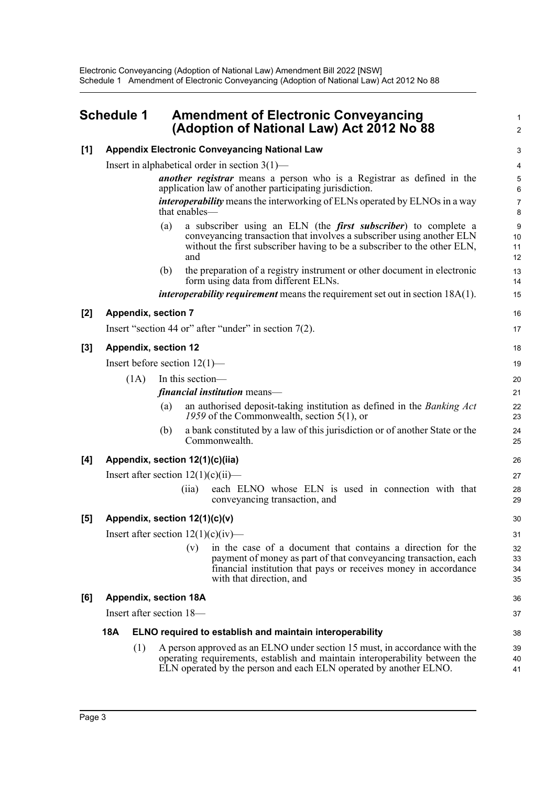#### <span id="page-6-0"></span>**Schedule 1 Amendment of Electronic Conveyancing (Adoption of National Law) Act 2012 No 88**

1 2

| [1]   |                                                                                                                                        |      |                  | <b>Appendix Electronic Conveyancing National Law</b>                                                                                                                                                                               |                                                                                                                                                                                                   | 3                    |  |
|-------|----------------------------------------------------------------------------------------------------------------------------------------|------|------------------|------------------------------------------------------------------------------------------------------------------------------------------------------------------------------------------------------------------------------------|---------------------------------------------------------------------------------------------------------------------------------------------------------------------------------------------------|----------------------|--|
|       | Insert in alphabetical order in section $3(1)$ —                                                                                       |      |                  |                                                                                                                                                                                                                                    |                                                                                                                                                                                                   |                      |  |
|       | <i>another registrar</i> means a person who is a Registrar as defined in the<br>application law of another participating jurisdiction. |      |                  |                                                                                                                                                                                                                                    |                                                                                                                                                                                                   |                      |  |
|       | <i>interoperability</i> means the interworking of ELNs operated by ELNOs in a way<br>that enables—                                     |      |                  |                                                                                                                                                                                                                                    |                                                                                                                                                                                                   | $\overline{7}$<br>8  |  |
|       |                                                                                                                                        |      | (a)              | a subscriber using an ELN (the <i>first subscriber</i> ) to complete a<br>conveyancing transaction that involves a subscriber using another ELN<br>without the first subscriber having to be a subscriber to the other ELN,<br>and |                                                                                                                                                                                                   | 9<br>10<br>11<br>12  |  |
|       |                                                                                                                                        |      | (b)              | the preparation of a registry instrument or other document in electronic<br>form using data from different ELNs.                                                                                                                   |                                                                                                                                                                                                   | 13<br>14             |  |
|       |                                                                                                                                        |      |                  | <i>interoperability requirement</i> means the requirement set out in section $18A(1)$ .                                                                                                                                            |                                                                                                                                                                                                   | 15                   |  |
| $[2]$ | <b>Appendix, section 7</b>                                                                                                             |      |                  |                                                                                                                                                                                                                                    |                                                                                                                                                                                                   | 16                   |  |
|       |                                                                                                                                        |      |                  | Insert "section 44 or" after "under" in section $7(2)$ .                                                                                                                                                                           |                                                                                                                                                                                                   | 17                   |  |
| $[3]$ | <b>Appendix, section 12</b>                                                                                                            |      |                  |                                                                                                                                                                                                                                    |                                                                                                                                                                                                   |                      |  |
|       |                                                                                                                                        |      |                  | Insert before section $12(1)$ —                                                                                                                                                                                                    |                                                                                                                                                                                                   | 19                   |  |
|       |                                                                                                                                        | (1A) | In this section- |                                                                                                                                                                                                                                    |                                                                                                                                                                                                   | 20                   |  |
|       |                                                                                                                                        |      |                  | <i>financial institution</i> means—                                                                                                                                                                                                |                                                                                                                                                                                                   |                      |  |
|       |                                                                                                                                        |      | (a)              | an authorised deposit-taking institution as defined in the Banking Act<br>1959 of the Commonwealth, section $5(1)$ , or                                                                                                            |                                                                                                                                                                                                   | 22<br>23             |  |
|       |                                                                                                                                        |      | (b)              | a bank constituted by a law of this jurisdiction or of another State or the<br>Commonwealth.                                                                                                                                       |                                                                                                                                                                                                   | 24<br>25             |  |
| [4]   |                                                                                                                                        |      |                  | Appendix, section 12(1)(c)(iia)                                                                                                                                                                                                    |                                                                                                                                                                                                   | 26                   |  |
|       | Insert after section $12(1)(c)(ii)$ —                                                                                                  |      |                  |                                                                                                                                                                                                                                    |                                                                                                                                                                                                   |                      |  |
|       |                                                                                                                                        |      |                  | (iia)<br>conveyancing transaction, and                                                                                                                                                                                             | each ELNO whose ELN is used in connection with that                                                                                                                                               | 28<br>29             |  |
| [5]   |                                                                                                                                        |      |                  | Appendix, section 12(1)(c)(v)                                                                                                                                                                                                      |                                                                                                                                                                                                   | 30                   |  |
|       | Insert after section $12(1)(c)(iv)$ —                                                                                                  |      |                  |                                                                                                                                                                                                                                    |                                                                                                                                                                                                   |                      |  |
|       |                                                                                                                                        |      |                  | (v)<br>with that direction, and                                                                                                                                                                                                    | in the case of a document that contains a direction for the<br>payment of money as part of that conveyancing transaction, each<br>financial institution that pays or receives money in accordance | 32<br>33<br>34<br>35 |  |
| [6]   | Appendix, section 18A                                                                                                                  |      |                  |                                                                                                                                                                                                                                    |                                                                                                                                                                                                   | 36                   |  |
|       | Insert after section 18—                                                                                                               |      |                  |                                                                                                                                                                                                                                    |                                                                                                                                                                                                   |                      |  |
|       | 18A                                                                                                                                    |      |                  | ELNO required to establish and maintain interoperability                                                                                                                                                                           |                                                                                                                                                                                                   | 38                   |  |
|       |                                                                                                                                        | (1)  |                  | A person approved as an ELNO under section 15 must, in accordance with the<br>operating requirements, establish and maintain interoperability between the<br>ELN operated by the person and each ELN operated by another ELNO.     |                                                                                                                                                                                                   | 39<br>40<br>41       |  |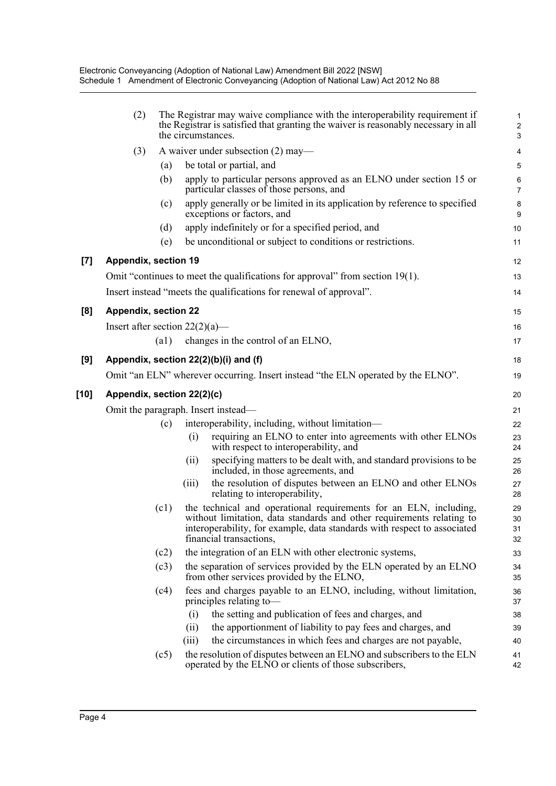|                    | (2)                                 | The Registrar may waive compliance with the interoperability requirement if<br>the Registrar is satisfied that granting the waiver is reasonably necessary in all<br>the circumstances. |       |                                                                                                                                                                                                                                                   | $\mathbf 1$<br>$\overline{c}$<br>$\mathbf{3}$ |
|--------------------|-------------------------------------|-----------------------------------------------------------------------------------------------------------------------------------------------------------------------------------------|-------|---------------------------------------------------------------------------------------------------------------------------------------------------------------------------------------------------------------------------------------------------|-----------------------------------------------|
|                    | (3)                                 |                                                                                                                                                                                         |       | A waiver under subsection (2) may—                                                                                                                                                                                                                | 4                                             |
|                    |                                     | (a)                                                                                                                                                                                     |       | be total or partial, and                                                                                                                                                                                                                          | 5                                             |
|                    |                                     | (b)                                                                                                                                                                                     |       | apply to particular persons approved as an ELNO under section 15 or<br>particular classes of those persons, and                                                                                                                                   | 6<br>$\overline{7}$                           |
|                    |                                     | (c)                                                                                                                                                                                     |       | apply generally or be limited in its application by reference to specified<br>exceptions or factors, and                                                                                                                                          | 8<br>9                                        |
|                    |                                     | (d)                                                                                                                                                                                     |       | apply indefinitely or for a specified period, and                                                                                                                                                                                                 | 10                                            |
|                    |                                     | (e)                                                                                                                                                                                     |       | be unconditional or subject to conditions or restrictions.                                                                                                                                                                                        | 11                                            |
| $\left[ 7 \right]$ | <b>Appendix, section 19</b>         |                                                                                                                                                                                         |       |                                                                                                                                                                                                                                                   | 12                                            |
|                    |                                     |                                                                                                                                                                                         |       | Omit "continues to meet the qualifications for approval" from section $19(1)$ .                                                                                                                                                                   | 13                                            |
|                    |                                     |                                                                                                                                                                                         |       | Insert instead "meets the qualifications for renewal of approval".                                                                                                                                                                                | 14                                            |
|                    |                                     |                                                                                                                                                                                         |       |                                                                                                                                                                                                                                                   |                                               |
| [8]                | <b>Appendix, section 22</b>         |                                                                                                                                                                                         |       |                                                                                                                                                                                                                                                   | 15                                            |
|                    | Insert after section $22(2)(a)$ —   |                                                                                                                                                                                         |       |                                                                                                                                                                                                                                                   | 16                                            |
|                    |                                     | (a1)                                                                                                                                                                                    |       | changes in the control of an ELNO,                                                                                                                                                                                                                | 17                                            |
| [9]                |                                     |                                                                                                                                                                                         |       | Appendix, section 22(2)(b)(i) and (f)                                                                                                                                                                                                             | 18                                            |
|                    |                                     |                                                                                                                                                                                         |       | Omit "an ELN" wherever occurring. Insert instead "the ELN operated by the ELNO".                                                                                                                                                                  | 19                                            |
| [10]               | Appendix, section 22(2)(c)          |                                                                                                                                                                                         |       |                                                                                                                                                                                                                                                   |                                               |
|                    | Omit the paragraph. Insert instead— |                                                                                                                                                                                         |       |                                                                                                                                                                                                                                                   |                                               |
|                    |                                     | (c)                                                                                                                                                                                     |       | interoperability, including, without limitation—                                                                                                                                                                                                  | 22                                            |
|                    |                                     |                                                                                                                                                                                         | (i)   | requiring an ELNO to enter into agreements with other ELNOs<br>with respect to interoperability, and                                                                                                                                              | 23<br>24                                      |
|                    |                                     |                                                                                                                                                                                         | (ii)  | specifying matters to be dealt with, and standard provisions to be<br>included, in those agreements, and                                                                                                                                          | 25<br>26                                      |
|                    |                                     |                                                                                                                                                                                         | (iii) | the resolution of disputes between an ELNO and other ELNOs<br>relating to interoperability,                                                                                                                                                       | 27<br>28                                      |
|                    |                                     | (c1)                                                                                                                                                                                    |       | the technical and operational requirements for an ELN, including,<br>without limitation, data standards and other requirements relating to<br>interoperability, for example, data standards with respect to associated<br>financial transactions, | 29<br>30<br>31<br>32                          |
|                    |                                     | (c2)                                                                                                                                                                                    |       | the integration of an ELN with other electronic systems,                                                                                                                                                                                          | 33                                            |
|                    |                                     | (c3)                                                                                                                                                                                    |       | the separation of services provided by the ELN operated by an ELNO<br>from other services provided by the ELNO,                                                                                                                                   | 34<br>35                                      |
|                    |                                     | (c4)                                                                                                                                                                                    |       | fees and charges payable to an ELNO, including, without limitation,<br>principles relating to-                                                                                                                                                    | 36<br>37                                      |
|                    |                                     |                                                                                                                                                                                         | (i)   | the setting and publication of fees and charges, and                                                                                                                                                                                              | 38                                            |
|                    |                                     |                                                                                                                                                                                         | (ii)  | the apportionment of liability to pay fees and charges, and                                                                                                                                                                                       | 39                                            |
|                    |                                     |                                                                                                                                                                                         | (iii) | the circumstances in which fees and charges are not payable,                                                                                                                                                                                      | 40                                            |
|                    |                                     | (c5)                                                                                                                                                                                    |       | the resolution of disputes between an ELNO and subscribers to the ELN<br>operated by the ELNO or clients of those subscribers,                                                                                                                    | 41<br>42                                      |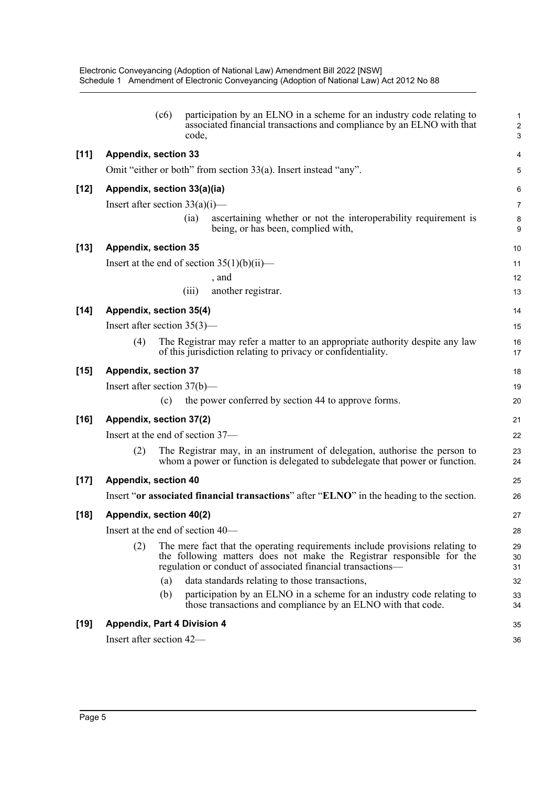|        |                                    | (c6) | code, | participation by an ELNO in a scheme for an industry code relating to<br>associated financial transactions and compliance by an ELNO with that                                                                       | 1<br>$\overline{\mathbf{c}}$<br>3 |  |  |
|--------|------------------------------------|------|-------|----------------------------------------------------------------------------------------------------------------------------------------------------------------------------------------------------------------------|-----------------------------------|--|--|
| $[11]$ | <b>Appendix, section 33</b>        |      |       |                                                                                                                                                                                                                      | 4                                 |  |  |
|        |                                    |      |       | Omit "either or both" from section 33(a). Insert instead "any".                                                                                                                                                      | 5                                 |  |  |
| $[12]$ | Appendix, section 33(a)(ia)        |      |       |                                                                                                                                                                                                                      | 6                                 |  |  |
|        | Insert after section $33(a)(i)$ —  |      |       |                                                                                                                                                                                                                      |                                   |  |  |
|        |                                    |      | (ia)  | ascertaining whether or not the interoperability requirement is<br>being, or has been, complied with,                                                                                                                | 8<br>9                            |  |  |
| $[13]$ | <b>Appendix, section 35</b>        |      |       |                                                                                                                                                                                                                      |                                   |  |  |
|        |                                    |      |       | Insert at the end of section $35(1)(b)(ii)$ —                                                                                                                                                                        | 11                                |  |  |
|        |                                    |      |       | , and                                                                                                                                                                                                                | 12                                |  |  |
|        |                                    |      | (iii) | another registrar.                                                                                                                                                                                                   | 13                                |  |  |
| $[14]$ | Appendix, section 35(4)            |      |       |                                                                                                                                                                                                                      |                                   |  |  |
|        | Insert after section $35(3)$ —     |      |       |                                                                                                                                                                                                                      | 15                                |  |  |
|        | (4)                                |      |       | The Registrar may refer a matter to an appropriate authority despite any law<br>of this jurisdiction relating to privacy or confidentiality.                                                                         | 16<br>17                          |  |  |
| $[15]$ | <b>Appendix, section 37</b>        |      |       |                                                                                                                                                                                                                      |                                   |  |  |
|        | Insert after section $37(b)$ —     |      |       |                                                                                                                                                                                                                      | 19                                |  |  |
|        |                                    | (c)  |       | the power conferred by section 44 to approve forms.                                                                                                                                                                  | 20                                |  |  |
| $[16]$ | Appendix, section 37(2)            |      |       |                                                                                                                                                                                                                      | 21                                |  |  |
|        | Insert at the end of section 37-   |      |       |                                                                                                                                                                                                                      |                                   |  |  |
|        | (2)                                |      |       | The Registrar may, in an instrument of delegation, authorise the person to<br>whom a power or function is delegated to subdelegate that power or function.                                                           | 23<br>24                          |  |  |
| $[17]$ | <b>Appendix, section 40</b>        |      |       |                                                                                                                                                                                                                      | 25                                |  |  |
|        |                                    |      |       | Insert "or associated financial transactions" after "ELNO" in the heading to the section.                                                                                                                            | 26                                |  |  |
| $[18]$ | Appendix, section 40(2)            |      |       |                                                                                                                                                                                                                      | 27                                |  |  |
|        | Insert at the end of section 40—   |      |       |                                                                                                                                                                                                                      |                                   |  |  |
|        | (2)                                |      |       | The mere fact that the operating requirements include provisions relating to<br>the following matters does not make the Registrar responsible for the<br>regulation or conduct of associated financial transactions— | 29<br>30<br>31                    |  |  |
|        |                                    | (a)  |       | data standards relating to those transactions,                                                                                                                                                                       | 32                                |  |  |
|        |                                    | (b)  |       | participation by an ELNO in a scheme for an industry code relating to<br>those transactions and compliance by an ELNO with that code.                                                                                | 33<br>34                          |  |  |
| $[19]$ | <b>Appendix, Part 4 Division 4</b> |      |       |                                                                                                                                                                                                                      | 35                                |  |  |
|        | Insert after section 42—           |      |       |                                                                                                                                                                                                                      | 36                                |  |  |